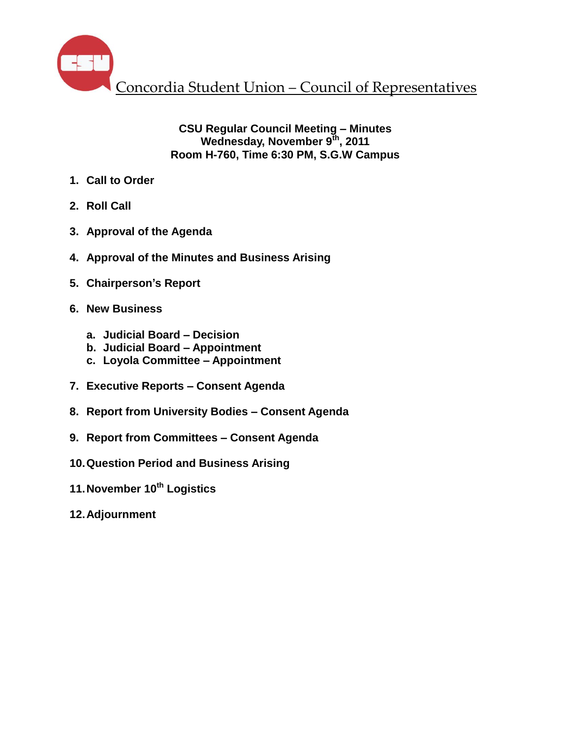

# **CSU Regular Council Meeting – Minutes Wednesday, November 9th , 2011 Room H-760, Time 6:30 PM, S.G.W Campus**

- **1. Call to Order**
- **2. Roll Call**
- **3. Approval of the Agenda**
- **4. Approval of the Minutes and Business Arising**
- **5. Chairperson's Report**
- **6. New Business**
	- **a. Judicial Board – Decision**
	- **b. Judicial Board – Appointment**
	- **c. Loyola Committee – Appointment**
- **7. Executive Reports – Consent Agenda**
- **8. Report from University Bodies – Consent Agenda**
- **9. Report from Committees – Consent Agenda**
- **10.Question Period and Business Arising**
- **11.November 10th Logistics**
- **12.Adjournment**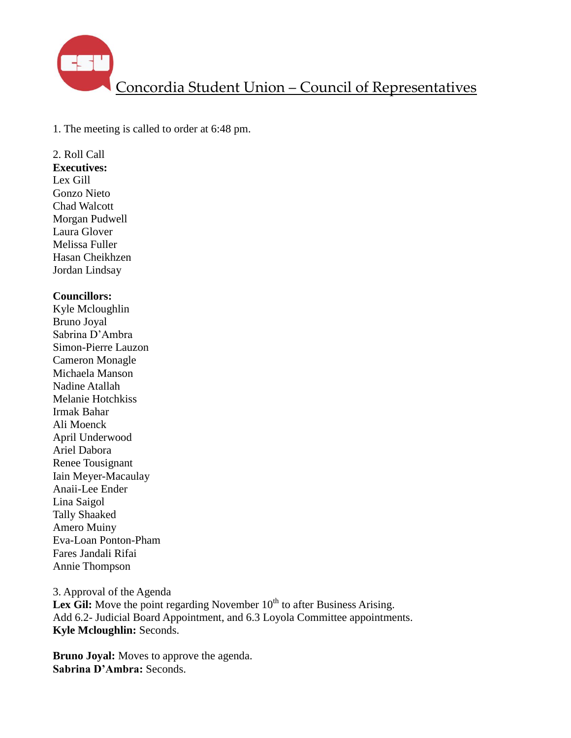

1. The meeting is called to order at 6:48 pm.

2. Roll Call **Executives:** Lex Gill Gonzo Nieto Chad Walcott Morgan Pudwell Laura Glover Melissa Fuller Hasan Cheikhzen Jordan Lindsay

#### **Councillors:**

Kyle Mcloughlin Bruno Joyal Sabrina D'Ambra Simon-Pierre Lauzon Cameron Monagle Michaela Manson Nadine Atallah Melanie Hotchkiss Irmak Bahar Ali Moenck April Underwood Ariel Dabora Renee Tousignant Iain Meyer-Macaulay Anaii-Lee Ender Lina Saigol Tally Shaaked Amero Muiny Eva-Loan Ponton-Pham Fares Jandali Rifai Annie Thompson

3. Approval of the Agenda **Lex Gil:** Move the point regarding November  $10<sup>th</sup>$  to after Business Arising. Add 6.2- Judicial Board Appointment, and 6.3 Loyola Committee appointments. **Kyle Mcloughlin:** Seconds.

**Bruno Joyal:** Moves to approve the agenda. **Sabrina D'Ambra:** Seconds.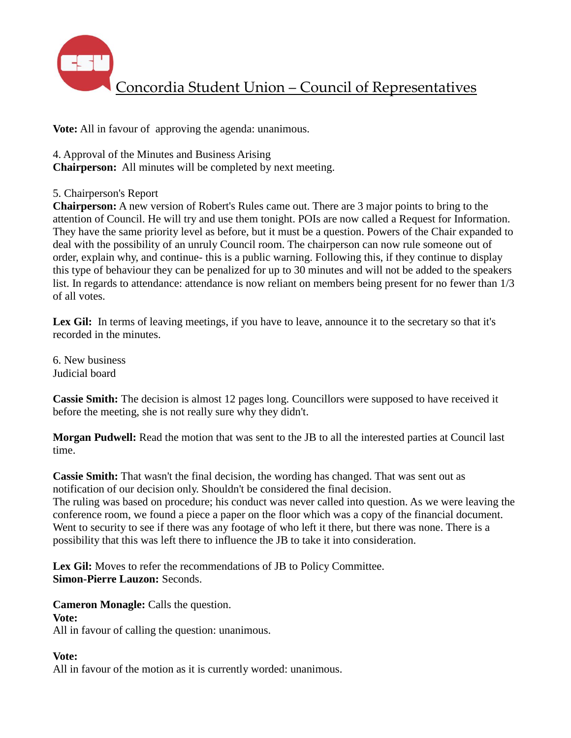

**Vote:** All in favour of approving the agenda: unanimous.

4. Approval of the Minutes and Business Arising

**Chairperson:** All minutes will be completed by next meeting.

## 5. Chairperson's Report

**Chairperson:** A new version of Robert's Rules came out. There are 3 major points to bring to the attention of Council. He will try and use them tonight. POIs are now called a Request for Information. They have the same priority level as before, but it must be a question. Powers of the Chair expanded to deal with the possibility of an unruly Council room. The chairperson can now rule someone out of order, explain why, and continue- this is a public warning. Following this, if they continue to display this type of behaviour they can be penalized for up to 30 minutes and will not be added to the speakers list. In regards to attendance: attendance is now reliant on members being present for no fewer than 1/3 of all votes.

Lex Gil: In terms of leaving meetings, if you have to leave, announce it to the secretary so that it's recorded in the minutes.

6. New business Judicial board

**Cassie Smith:** The decision is almost 12 pages long. Councillors were supposed to have received it before the meeting, she is not really sure why they didn't.

**Morgan Pudwell:** Read the motion that was sent to the JB to all the interested parties at Council last time.

**Cassie Smith:** That wasn't the final decision, the wording has changed. That was sent out as notification of our decision only. Shouldn't be considered the final decision. The ruling was based on procedure; his conduct was never called into question. As we were leaving the conference room, we found a piece a paper on the floor which was a copy of the financial document. Went to security to see if there was any footage of who left it there, but there was none. There is a possibility that this was left there to influence the JB to take it into consideration.

Lex Gil: Moves to refer the recommendations of JB to Policy Committee. **Simon-Pierre Lauzon:** Seconds.

**Cameron Monagle:** Calls the question.

## **Vote:**

All in favour of calling the question: unanimous.

## **Vote:**

All in favour of the motion as it is currently worded: unanimous.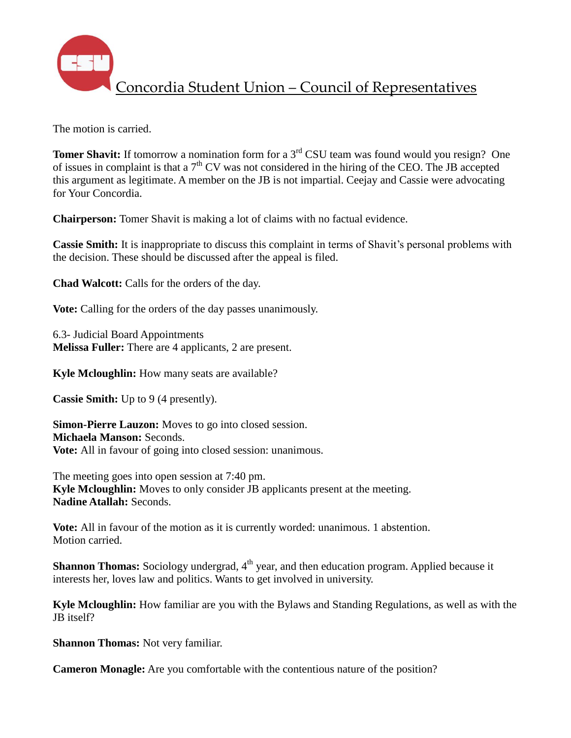

The motion is carried.

**Tomer Shavit:** If tomorrow a nomination form for a 3<sup>rd</sup> CSU team was found would you resign? One of issues in complaint is that a  $7<sup>th</sup>$  CV was not considered in the hiring of the CEO. The JB accepted this argument as legitimate. A member on the JB is not impartial. Ceejay and Cassie were advocating for Your Concordia.

**Chairperson:** Tomer Shavit is making a lot of claims with no factual evidence.

**Cassie Smith:** It is inappropriate to discuss this complaint in terms of Shavit's personal problems with the decision. These should be discussed after the appeal is filed.

**Chad Walcott:** Calls for the orders of the day.

**Vote:** Calling for the orders of the day passes unanimously.

6.3- Judicial Board Appointments **Melissa Fuller:** There are 4 applicants, 2 are present.

**Kyle Mcloughlin:** How many seats are available?

**Cassie Smith:** Up to 9 (4 presently).

**Simon-Pierre Lauzon:** Moves to go into closed session. **Michaela Manson:** Seconds. **Vote:** All in favour of going into closed session: unanimous.

The meeting goes into open session at 7:40 pm. **Kyle Mcloughlin:** Moves to only consider JB applicants present at the meeting. **Nadine Atallah:** Seconds.

**Vote:** All in favour of the motion as it is currently worded: unanimous. 1 abstention. Motion carried.

**Shannon Thomas:** Sociology undergrad, 4<sup>th</sup> year, and then education program. Applied because it interests her, loves law and politics. Wants to get involved in university.

**Kyle Mcloughlin:** How familiar are you with the Bylaws and Standing Regulations, as well as with the JB itself?

**Shannon Thomas:** Not very familiar.

**Cameron Monagle:** Are you comfortable with the contentious nature of the position?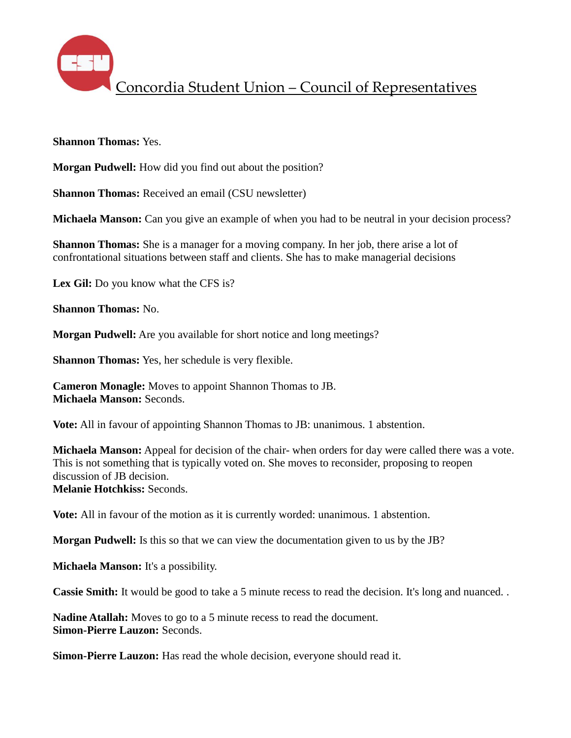

**Shannon Thomas:** Yes.

**Morgan Pudwell:** How did you find out about the position?

**Shannon Thomas:** Received an email (CSU newsletter)

**Michaela Manson:** Can you give an example of when you had to be neutral in your decision process?

**Shannon Thomas:** She is a manager for a moving company. In her job, there arise a lot of confrontational situations between staff and clients. She has to make managerial decisions

**Lex Gil:** Do you know what the CFS is?

**Shannon Thomas:** No.

**Morgan Pudwell:** Are you available for short notice and long meetings?

**Shannon Thomas:** Yes, her schedule is very flexible.

**Cameron Monagle:** Moves to appoint Shannon Thomas to JB. **Michaela Manson:** Seconds.

**Vote:** All in favour of appointing Shannon Thomas to JB: unanimous. 1 abstention.

**Michaela Manson:** Appeal for decision of the chair- when orders for day were called there was a vote. This is not something that is typically voted on. She moves to reconsider, proposing to reopen discussion of JB decision.

**Melanie Hotchkiss:** Seconds.

**Vote:** All in favour of the motion as it is currently worded: unanimous. 1 abstention.

**Morgan Pudwell:** Is this so that we can view the documentation given to us by the JB?

**Michaela Manson:** It's a possibility.

**Cassie Smith:** It would be good to take a 5 minute recess to read the decision. It's long and nuanced..

**Nadine Atallah:** Moves to go to a 5 minute recess to read the document. **Simon-Pierre Lauzon:** Seconds.

**Simon-Pierre Lauzon:** Has read the whole decision, everyone should read it.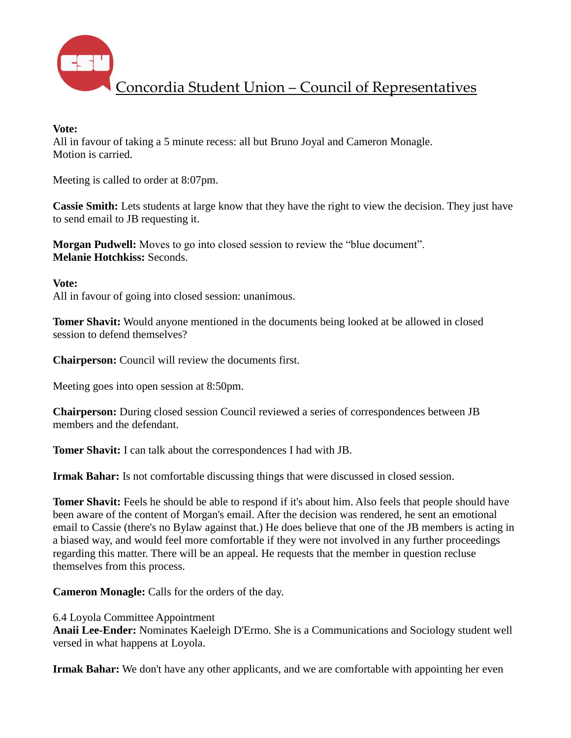

#### **Vote:**

All in favour of taking a 5 minute recess: all but Bruno Joyal and Cameron Monagle. Motion is carried.

Meeting is called to order at 8:07pm.

**Cassie Smith:** Lets students at large know that they have the right to view the decision. They just have to send email to JB requesting it.

**Morgan Pudwell:** Moves to go into closed session to review the "blue document". **Melanie Hotchkiss:** Seconds.

**Vote:**

All in favour of going into closed session: unanimous.

**Tomer Shavit:** Would anyone mentioned in the documents being looked at be allowed in closed session to defend themselves?

**Chairperson:** Council will review the documents first.

Meeting goes into open session at 8:50pm.

**Chairperson:** During closed session Council reviewed a series of correspondences between JB members and the defendant.

**Tomer Shavit:** I can talk about the correspondences I had with JB.

**Irmak Bahar:** Is not comfortable discussing things that were discussed in closed session.

**Tomer Shavit:** Feels he should be able to respond if it's about him. Also feels that people should have been aware of the content of Morgan's email. After the decision was rendered, he sent an emotional email to Cassie (there's no Bylaw against that.) He does believe that one of the JB members is acting in a biased way, and would feel more comfortable if they were not involved in any further proceedings regarding this matter. There will be an appeal. He requests that the member in question recluse themselves from this process.

**Cameron Monagle:** Calls for the orders of the day.

6.4 Loyola Committee Appointment

**Anaii Lee-Ender:** Nominates Kaeleigh D'Ermo. She is a Communications and Sociology student well versed in what happens at Loyola.

**Irmak Bahar:** We don't have any other applicants, and we are comfortable with appointing her even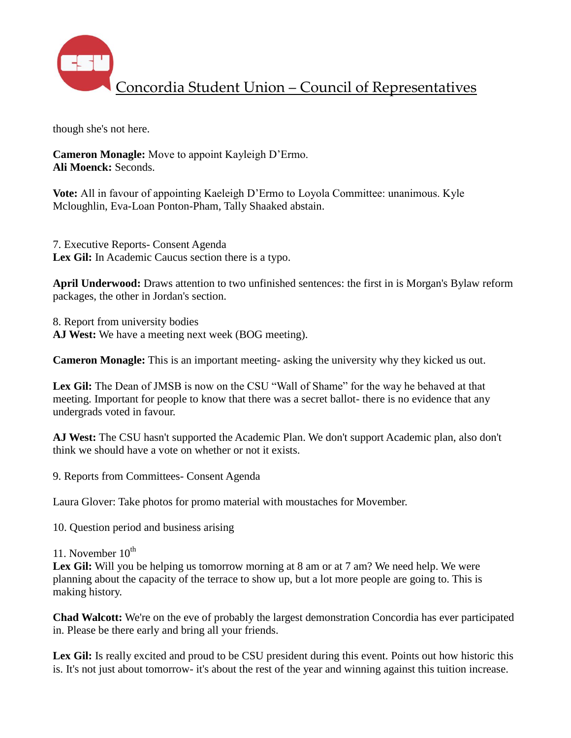

though she's not here.

**Cameron Monagle:** Move to appoint Kayleigh D'Ermo. **Ali Moenck:** Seconds.

**Vote:** All in favour of appointing Kaeleigh D'Ermo to Loyola Committee: unanimous. Kyle Mcloughlin, Eva-Loan Ponton-Pham, Tally Shaaked abstain.

7. Executive Reports- Consent Agenda Lex Gil: In Academic Caucus section there is a typo.

**April Underwood:** Draws attention to two unfinished sentences: the first in is Morgan's Bylaw reform packages, the other in Jordan's section.

8. Report from university bodies **AJ West:** We have a meeting next week (BOG meeting).

**Cameron Monagle:** This is an important meeting- asking the university why they kicked us out.

Lex Gil: The Dean of JMSB is now on the CSU "Wall of Shame" for the way he behaved at that meeting. Important for people to know that there was a secret ballot- there is no evidence that any undergrads voted in favour.

**AJ West:** The CSU hasn't supported the Academic Plan. We don't support Academic plan, also don't think we should have a vote on whether or not it exists.

9. Reports from Committees- Consent Agenda

Laura Glover: Take photos for promo material with moustaches for Movember.

10. Question period and business arising

11. November  $10^{th}$ 

Lex Gil: Will you be helping us tomorrow morning at 8 am or at 7 am? We need help. We were planning about the capacity of the terrace to show up, but a lot more people are going to. This is making history.

**Chad Walcott:** We're on the eve of probably the largest demonstration Concordia has ever participated in. Please be there early and bring all your friends.

Lex Gil: Is really excited and proud to be CSU president during this event. Points out how historic this is. It's not just about tomorrow- it's about the rest of the year and winning against this tuition increase.